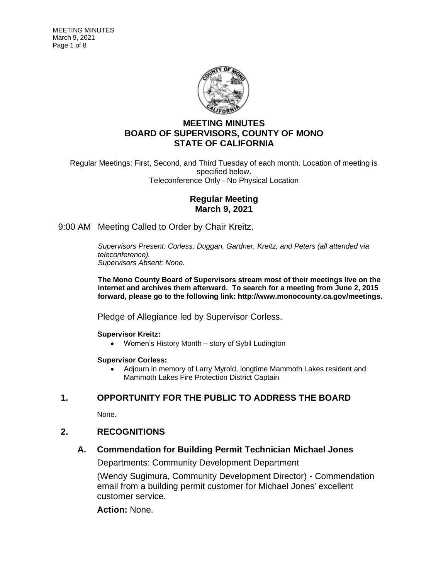

# **MEETING MINUTES BOARD OF SUPERVISORS, COUNTY OF MONO STATE OF CALIFORNIA**

Regular Meetings: First, Second, and Third Tuesday of each month. Location of meeting is specified below. Teleconference Only - No Physical Location

## **Regular Meeting March 9, 2021**

9:00 AM Meeting Called to Order by Chair Kreitz.

*Supervisors Present: Corless, Duggan, Gardner, Kreitz, and Peters (all attended via teleconference). Supervisors Absent: None.*

**The Mono County Board of Supervisors stream most of their meetings live on the internet and archives them afterward. To search for a meeting from June 2, 2015 forward, please go to the following link: [http://www.monocounty.ca.gov/meetings.](http://www.monocounty.ca.gov/meetings)**

Pledge of Allegiance led by Supervisor Corless.

#### **Supervisor Kreitz:**

• Women's History Month – story of Sybil Ludington

#### **Supervisor Corless:**

• Adjourn in memory of Larry Myrold, longtime Mammoth Lakes resident and Mammoth Lakes Fire Protection District Captain

## **1. OPPORTUNITY FOR THE PUBLIC TO ADDRESS THE BOARD**

None.

## **2. RECOGNITIONS**

## **A. Commendation for Building Permit Technician Michael Jones**

Departments: Community Development Department

(Wendy Sugimura, Community Development Director) - Commendation email from a building permit customer for Michael Jones' excellent customer service.

**Action:** None.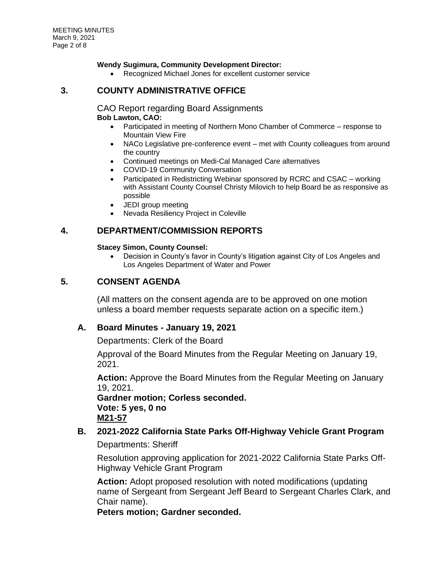#### **Wendy Sugimura, Community Development Director:**

Recognized Michael Jones for excellent customer service

#### **3. COUNTY ADMINISTRATIVE OFFICE**

# CAO Report regarding Board Assignments

#### **Bob Lawton, CAO:**

- Participated in meeting of Northern Mono Chamber of Commerce response to Mountain View Fire
- NACo Legislative pre-conference event met with County colleagues from around the country
- Continued meetings on Medi-Cal Managed Care alternatives
- COVID-19 Community Conversation
- Participated in Redistricting Webinar sponsored by RCRC and CSAC working with Assistant County Counsel Christy Milovich to help Board be as responsive as possible
- JEDI group meeting
- Nevada Resiliency Project in Coleville

## **4. DEPARTMENT/COMMISSION REPORTS**

#### **Stacey Simon, County Counsel:**

• Decision in County's favor in County's litigation against City of Los Angeles and Los Angeles Department of Water and Power

## **5. CONSENT AGENDA**

(All matters on the consent agenda are to be approved on one motion unless a board member requests separate action on a specific item.)

#### **A. Board Minutes - January 19, 2021**

Departments: Clerk of the Board

Approval of the Board Minutes from the Regular Meeting on January 19, 2021.

**Action:** Approve the Board Minutes from the Regular Meeting on January 19, 2021.

**Gardner motion; Corless seconded. Vote: 5 yes, 0 no M21-57**

# **B. 2021-2022 California State Parks Off-Highway Vehicle Grant Program**

Departments: Sheriff

Resolution approving application for 2021-2022 California State Parks Off-Highway Vehicle Grant Program

**Action:** Adopt proposed resolution with noted modifications (updating name of Sergeant from Sergeant Jeff Beard to Sergeant Charles Clark, and Chair name).

**Peters motion; Gardner seconded.**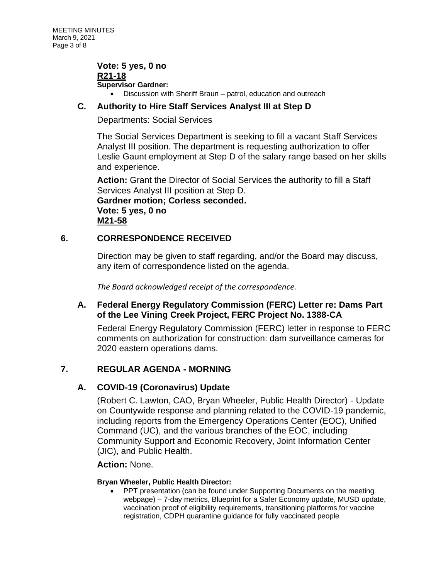**Vote: 5 yes, 0 no R21-18 Supervisor Gardner:** • Discussion with Sheriff Braun – patrol, education and outreach

## **C. Authority to Hire Staff Services Analyst III at Step D**

Departments: Social Services

The Social Services Department is seeking to fill a vacant Staff Services Analyst III position. The department is requesting authorization to offer Leslie Gaunt employment at Step D of the salary range based on her skills and experience.

**Action:** Grant the Director of Social Services the authority to fill a Staff Services Analyst III position at Step D. **Gardner motion; Corless seconded. Vote: 5 yes, 0 no M21-58**

## **6. CORRESPONDENCE RECEIVED**

Direction may be given to staff regarding, and/or the Board may discuss, any item of correspondence listed on the agenda.

*The Board acknowledged receipt of the correspondence.*

# **A. Federal Energy Regulatory Commission (FERC) Letter re: Dams Part of the Lee Vining Creek Project, FERC Project No. 1388-CA**

Federal Energy Regulatory Commission (FERC) letter in response to FERC comments on authorization for construction: dam surveillance cameras for 2020 eastern operations dams.

# **7. REGULAR AGENDA - MORNING**

## **A. COVID-19 (Coronavirus) Update**

(Robert C. Lawton, CAO, Bryan Wheeler, Public Health Director) - Update on Countywide response and planning related to the COVID-19 pandemic, including reports from the Emergency Operations Center (EOC), Unified Command (UC), and the various branches of the EOC, including Community Support and Economic Recovery, Joint Information Center (JIC), and Public Health.

## **Action:** None.

#### **Bryan Wheeler, Public Health Director:**

• PPT presentation (can be found under Supporting Documents on the meeting webpage) – 7-day metrics, Blueprint for a Safer Economy update, MUSD update, vaccination proof of eligibility requirements, transitioning platforms for vaccine registration, CDPH quarantine guidance for fully vaccinated people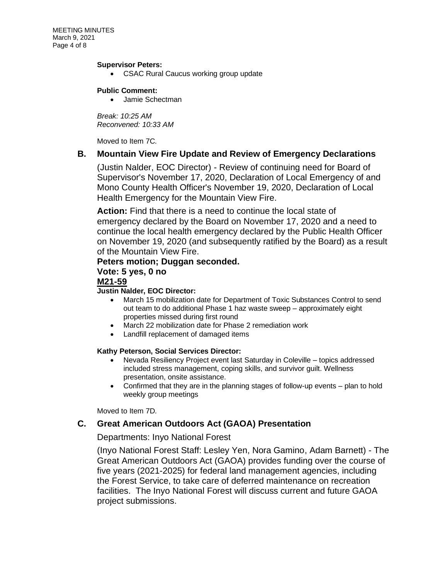MEETING MINUTES March 9, 2021 Page 4 of 8

#### **Supervisor Peters:**

• CSAC Rural Caucus working group update

#### **Public Comment:**

• Jamie Schectman

*Break: 10:25 AM Reconvened: 10:33 AM*

Moved to Item 7C.

#### **B. Mountain View Fire Update and Review of Emergency Declarations**

(Justin Nalder, EOC Director) - Review of continuing need for Board of Supervisor's November 17, 2020, Declaration of Local Emergency of and Mono County Health Officer's November 19, 2020, Declaration of Local Health Emergency for the Mountain View Fire.

**Action:** Find that there is a need to continue the local state of emergency declared by the Board on November 17, 2020 and a need to continue the local health emergency declared by the Public Health Officer on November 19, 2020 (and subsequently ratified by the Board) as a result of the Mountain View Fire.

#### **Peters motion; Duggan seconded.**

#### **Vote: 5 yes, 0 no**

#### **M21-59**

#### **Justin Nalder, EOC Director:**

- March 15 mobilization date for Department of Toxic Substances Control to send out team to do additional Phase 1 haz waste sweep – approximately eight properties missed during first round
- March 22 mobilization date for Phase 2 remediation work
- Landfill replacement of damaged items

#### **Kathy Peterson, Social Services Director:**

- Nevada Resiliency Project event last Saturday in Coleville topics addressed included stress management, coping skills, and survivor guilt. Wellness presentation, onsite assistance.
- Confirmed that they are in the planning stages of follow-up events plan to hold weekly group meetings

Moved to Item 7D.

## **C. Great American Outdoors Act (GAOA) Presentation**

#### Departments: Inyo National Forest

(Inyo National Forest Staff: Lesley Yen, Nora Gamino, Adam Barnett) - The Great American Outdoors Act (GAOA) provides funding over the course of five years (2021-2025) for federal land management agencies, including the Forest Service, to take care of deferred maintenance on recreation facilities. The Inyo National Forest will discuss current and future GAOA project submissions.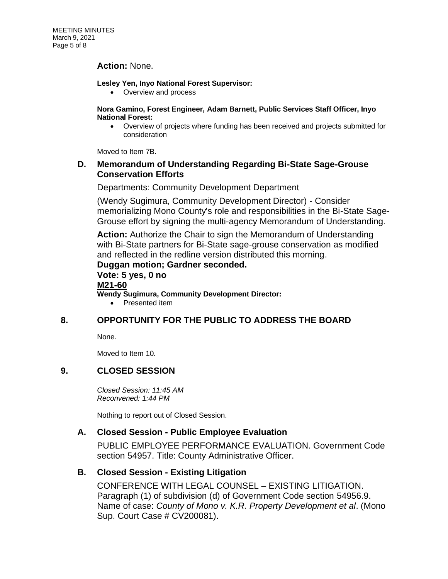#### **Action:** None.

#### **Lesley Yen, Inyo National Forest Supervisor:**

• Overview and process

#### **Nora Gamino, Forest Engineer, Adam Barnett, Public Services Staff Officer, Inyo National Forest:**

• Overview of projects where funding has been received and projects submitted for consideration

Moved to Item 7B.

#### **D. Memorandum of Understanding Regarding Bi-State Sage-Grouse Conservation Efforts**

Departments: Community Development Department

(Wendy Sugimura, Community Development Director) - Consider memorializing Mono County's role and responsibilities in the Bi-State Sage-Grouse effort by signing the multi-agency Memorandum of Understanding.

**Action:** Authorize the Chair to sign the Memorandum of Understanding with Bi-State partners for Bi-State sage-grouse conservation as modified and reflected in the redline version distributed this morning.

**Duggan motion; Gardner seconded. Vote: 5 yes, 0 no M21-60 Wendy Sugimura, Community Development Director:**

• Presented item

## **8. OPPORTUNITY FOR THE PUBLIC TO ADDRESS THE BOARD**

None.

Moved to Item 10.

## **9. CLOSED SESSION**

*Closed Session: 11:45 AM Reconvened: 1:44 PM*

Nothing to report out of Closed Session.

## **A. Closed Session - Public Employee Evaluation**

PUBLIC EMPLOYEE PERFORMANCE EVALUATION. Government Code section 54957. Title: County Administrative Officer.

## **B. Closed Session - Existing Litigation**

CONFERENCE WITH LEGAL COUNSEL – EXISTING LITIGATION. Paragraph (1) of subdivision (d) of Government Code section 54956.9. Name of case: *County of Mono v. K.R. Property Development et al*. (Mono Sup. Court Case # CV200081).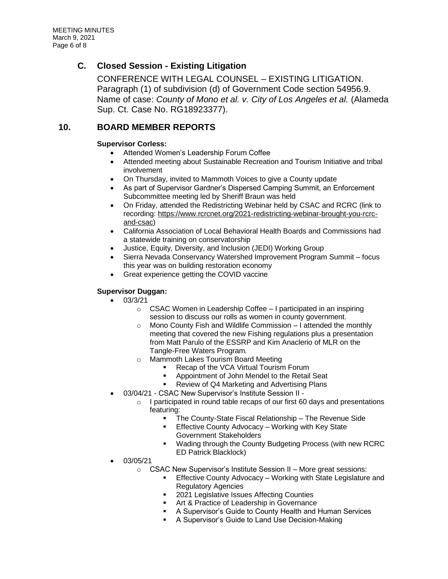## **C. Closed Session - Existing Litigation**

CONFERENCE WITH LEGAL COUNSEL – EXISTING LITIGATION. Paragraph (1) of subdivision (d) of Government Code section 54956.9. Name of case: *County of Mono et al. v. City of Los Angeles et al.* (Alameda Sup. Ct. Case No. RG18923377).

## **10. BOARD MEMBER REPORTS**

#### **Supervisor Corless:**

- Attended Women's Leadership Forum Coffee
- Attended meeting about Sustainable Recreation and Tourism Initiative and tribal involvement
- On Thursday, invited to Mammoth Voices to give a County update
- As part of Supervisor Gardner's Dispersed Camping Summit, an Enforcement Subcommittee meeting led by Sheriff Braun was held
- On Friday, attended the Redistricting Webinar held by CSAC and RCRC (link to recording: [https://www.rcrcnet.org/2021-redistricting-webinar-brought-you-rcrc](https://www.rcrcnet.org/2021-redistricting-webinar-brought-you-rcrc-and-csac)[and-csac\)](https://www.rcrcnet.org/2021-redistricting-webinar-brought-you-rcrc-and-csac)
- California Association of Local Behavioral Health Boards and Commissions had a statewide training on conservatorship
- Justice, Equity, Diversity, and Inclusion (JEDI) Working Group
- Sierra Nevada Conservancy Watershed Improvement Program Summit focus this year was on building restoration economy
- Great experience getting the COVID vaccine

#### **Supervisor Duggan:**

- 03/3/21
	- o CSAC Women in Leadership Coffee I participated in an inspiring session to discuss our rolls as women in county government.
	- o Mono County Fish and Wildlife Commission I attended the monthly meeting that covered the new Fishing regulations plus a presentation from Matt Parulo of the ESSRP and Kim Anaclerio of MLR on the Tangle-Free Waters Program.
	- o Mammoth Lakes Tourism Board Meeting
		- Recap of the VCA Virtual Tourism Forum
		- Appointment of John Mendel to the Retail Seat
		- Review of Q4 Marketing and Advertising Plans
- 03/04/21 CSAC New Supervisor's Institute Session II
	- $\circ$  I participated in round table recaps of our first 60 days and presentations featuring:
		- The County-State Fiscal Relationship The Revenue Side
		- Effective County Advocacy Working with Key State Government Stakeholders
		- Wading through the County Budgeting Process (with new RCRC ED Patrick Blacklock)
- 03/05/21
	- o CSAC New Supervisor's Institute Session II More great sessions:
		- Effective County Advocacy Working with State Legislature and Regulatory Agencies
		- 2021 Legislative Issues Affecting Counties
		- Art & Practice of Leadership in Governance
		- A Supervisor's Guide to County Health and Human Services
		- A Supervisor's Guide to Land Use Decision-Making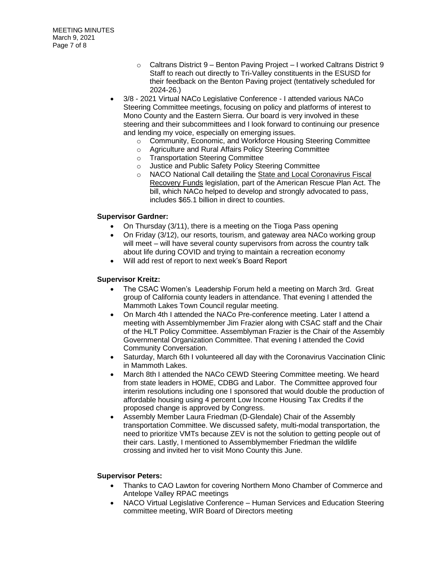- o Caltrans District 9 Benton Paving Project I worked Caltrans District 9 Staff to reach out directly to Tri-Valley constituents in the ESUSD for their feedback on the Benton Paving project (tentatively scheduled for 2024-26.)
- 3/8 2021 Virtual NACo Legislative Conference I attended various NACo Steering Committee meetings, focusing on policy and platforms of interest to Mono County and the Eastern Sierra. Our board is very involved in these steering and their subcommittees and I look forward to continuing our presence and lending my voice, especially on emerging issues.
	- o Community, Economic, and Workforce Housing Steering Committee
	- o Agriculture and Rural Affairs Policy Steering Committee
	- o Transportation Steering Committee
	- o Justice and Public Safety Policy Steering Committee
	- o NACO National Call detailing the [State and Local Coronavirus Fiscal](https://www.naco.org/resources/featured/state-and-local-coronavirus-fiscal-recovery-funds)  [Recovery Funds](https://www.naco.org/resources/featured/state-and-local-coronavirus-fiscal-recovery-funds) legislation, part of the American Rescue Plan Act. The bill, which NACo helped to develop and strongly advocated to pass, includes \$65.1 billion in direct to counties.

#### **Supervisor Gardner:**

- On Thursday (3/11), there is a meeting on the Tioga Pass opening
- On Friday (3/12), our resorts, tourism, and gateway area NACo working group will meet – will have several county supervisors from across the country talk about life during COVID and trying to maintain a recreation economy
- Will add rest of report to next week's Board Report

#### **Supervisor Kreitz:**

- The CSAC Women's Leadership Forum held a meeting on March 3rd. Great group of California county leaders in attendance. That evening I attended the Mammoth Lakes Town Council regular meeting.
- On March 4th I attended the NACo Pre-conference meeting. Later I attend a meeting with Assemblymember Jim Frazier along with CSAC staff and the Chair of the HLT Policy Committee. Assemblyman Frazier is the Chair of the Assembly Governmental Organization Committee. That evening I attended the Covid Community Conversation.
- Saturday, March 6th I volunteered all day with the Coronavirus Vaccination Clinic in Mammoth Lakes.
- March 8th I attended the NACo CEWD Steering Committee meeting. We heard from state leaders in HOME, CDBG and Labor. The Committee approved four interim resolutions including one I sponsored that would double the production of affordable housing using 4 percent Low Income Housing Tax Credits if the proposed change is approved by Congress.
- Assembly Member Laura Friedman (D-Glendale) Chair of the Assembly transportation Committee. We discussed safety, multi-modal transportation, the need to prioritize VMTs because ZEV is not the solution to getting people out of their cars. Lastly, I mentioned to Assemblymember Friedman the wildlife crossing and invited her to visit Mono County this June.

#### **Supervisor Peters:**

- Thanks to CAO Lawton for covering Northern Mono Chamber of Commerce and Antelope Valley RPAC meetings
- NACO Virtual Legislative Conference Human Services and Education Steering committee meeting, WIR Board of Directors meeting